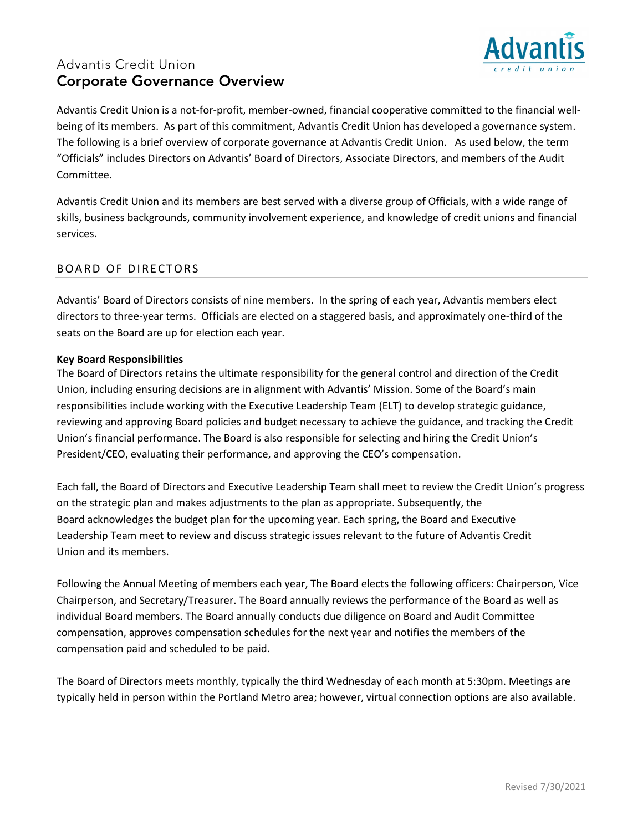## Advantis Credit Union Corporate Governance Overview



Advantis Credit Union is a not-for-profit, member-owned, financial cooperative committed to the financial wellbeing of its members. As part of this commitment, Advantis Credit Union has developed a governance system. The following is a brief overview of corporate governance at Advantis Credit Union. As used below, the term "Officials" includes Directors on Advantis' Board of Directors, Associate Directors, and members of the Audit Committee.

Advantis Credit Union and its members are best served with a diverse group of Officials, with a wide range of skills, business backgrounds, community involvement experience, and knowledge of credit unions and financial services.

## BOARD OF DIRECTORS

Advantis' Board of Directors consists of nine members. In the spring of each year, Advantis members elect directors to three-year terms. Officials are elected on a staggered basis, and approximately one-third of the seats on the Board are up for election each year.

#### **Key Board Responsibilities**

The Board of Directors retains the ultimate responsibility for the general control and direction of the Credit Union, including ensuring decisions are in alignment with Advantis' Mission. Some of the Board's main responsibilities include working with the Executive Leadership Team (ELT) to develop strategic guidance, reviewing and approving Board policies and budget necessary to achieve the guidance, and tracking the Credit Union's financial performance. The Board is also responsible for selecting and hiring the Credit Union's President/CEO, evaluating their performance, and approving the CEO's compensation.

Each fall, the Board of Directors and Executive Leadership Team shall meet to review the Credit Union's progress on the strategic plan and makes adjustments to the plan as appropriate. Subsequently, the Board acknowledges the budget plan for the upcoming year. Each spring, the Board and Executive Leadership Team meet to review and discuss strategic issues relevant to the future of Advantis Credit Union and its members.

Following the Annual Meeting of members each year, The Board elects the following officers: Chairperson, Vice Chairperson, and Secretary/Treasurer. The Board annually reviews the performance of the Board as well as individual Board members. The Board annually conducts due diligence on Board and Audit Committee compensation, approves compensation schedules for the next year and notifies the members of the compensation paid and scheduled to be paid.

The Board of Directors meets monthly, typically the third Wednesday of each month at 5:30pm. Meetings are typically held in person within the Portland Metro area; however, virtual connection options are also available.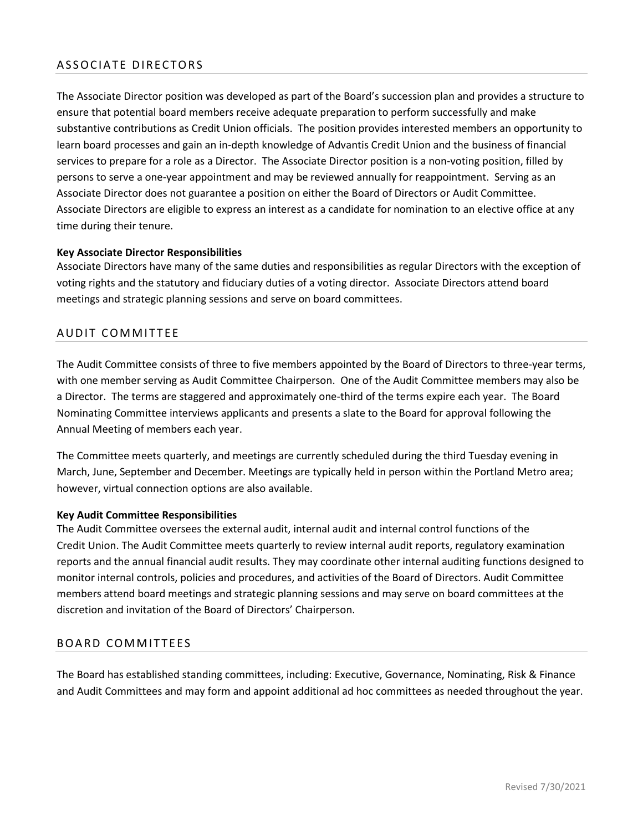## ASSOCIATE DIRECTORS

The Associate Director position was developed as part of the Board's succession plan and provides a structure to ensure that potential board members receive adequate preparation to perform successfully and make substantive contributions as Credit Union officials. The position provides interested members an opportunity to learn board processes and gain an in-depth knowledge of Advantis Credit Union and the business of financial services to prepare for a role as a Director. The Associate Director position is a non-voting position, filled by persons to serve a one-year appointment and may be reviewed annually for reappointment. Serving as an Associate Director does not guarantee a position on either the Board of Directors or Audit Committee. Associate Directors are eligible to express an interest as a candidate for nomination to an elective office at any time during their tenure.

#### **Key Associate Director Responsibilities**

Associate Directors have many of the same duties and responsibilities as regular Directors with the exception of voting rights and the statutory and fiduciary duties of a voting director. Associate Directors attend board meetings and strategic planning sessions and serve on board committees.

#### AUDIT COMMITTEE

The Audit Committee consists of three to five members appointed by the Board of Directors to three-year terms, with one member serving as Audit Committee Chairperson. One of the Audit Committee members may also be a Director. The terms are staggered and approximately one-third of the terms expire each year. The Board Nominating Committee interviews applicants and presents a slate to the Board for approval following the Annual Meeting of members each year.

The Committee meets quarterly, and meetings are currently scheduled during the third Tuesday evening in March, June, September and December. Meetings are typically held in person within the Portland Metro area; however, virtual connection options are also available.

#### **Key Audit Committee Responsibilities**

The Audit Committee oversees the external audit, internal audit and internal control functions of the Credit Union. The Audit Committee meets quarterly to review internal audit reports, regulatory examination reports and the annual financial audit results. They may coordinate other internal auditing functions designed to monitor internal controls, policies and procedures, and activities of the Board of Directors. Audit Committee members attend board meetings and strategic planning sessions and may serve on board committees at the discretion and invitation of the Board of Directors' Chairperson.

#### BOARD COMMITTEES

The Board has established standing committees, including: Executive, Governance, Nominating, Risk & Finance and Audit Committees and may form and appoint additional ad hoc committees as needed throughout the year.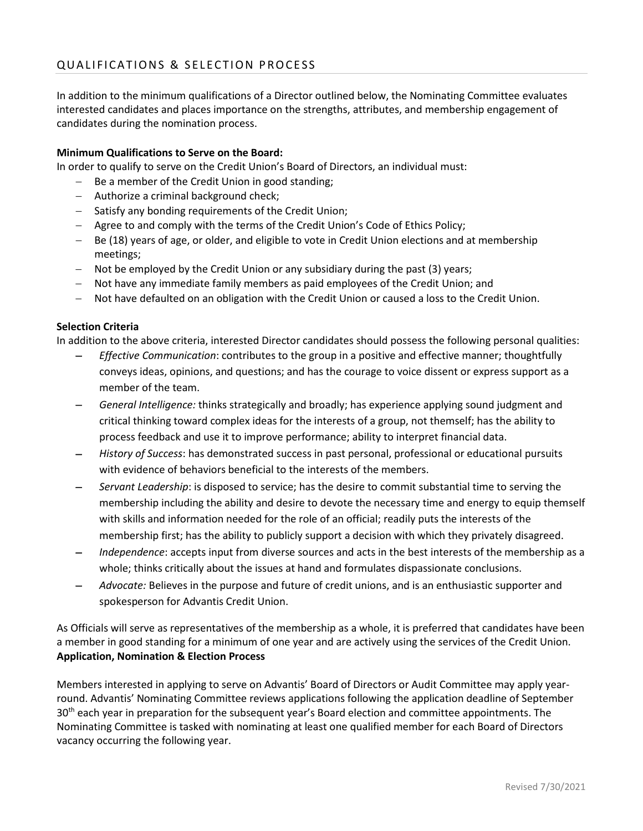In addition to the minimum qualifications of a Director outlined below, the Nominating Committee evaluates interested candidates and places importance on the strengths, attributes, and membership engagement of candidates during the nomination process.

#### **Minimum Qualifications to Serve on the Board:**

In order to qualify to serve on the Credit Union's Board of Directors, an individual must:

- − Be a member of the Credit Union in good standing;
- − Authorize a criminal background check;
- − Satisfy any bonding requirements of the Credit Union;
- − Agree to and comply with the terms of the Credit Union's Code of Ethics Policy;
- − Be (18) years of age, or older, and eligible to vote in Credit Union elections and at membership meetings;
- − Not be employed by the Credit Union or any subsidiary during the past (3) years;
- − Not have any immediate family members as paid employees of the Credit Union; and
- Not have defaulted on an obligation with the Credit Union or caused a loss to the Credit Union.

#### **Selection Criteria**

In addition to the above criteria, interested Director candidates should possess the following personal qualities:

- − *Effective Communication*: contributes to the group in a positive and effective manner; thoughtfully conveys ideas, opinions, and questions; and has the courage to voice dissent or express support as a member of the team.
- − *General Intelligence:* thinks strategically and broadly; has experience applying sound judgment and critical thinking toward complex ideas for the interests of a group, not themself; has the ability to process feedback and use it to improve performance; ability to interpret financial data.
- − *History of Success*: has demonstrated success in past personal, professional or educational pursuits with evidence of behaviors beneficial to the interests of the members.
- − *Servant Leadership*: is disposed to service; has the desire to commit substantial time to serving the membership including the ability and desire to devote the necessary time and energy to equip themself with skills and information needed for the role of an official; readily puts the interests of the membership first; has the ability to publicly support a decision with which they privately disagreed.
- *Independence*: accepts input from diverse sources and acts in the best interests of the membership as a whole; thinks critically about the issues at hand and formulates dispassionate conclusions.
- − *Advocate:* Believes in the purpose and future of credit unions, and is an enthusiastic supporter and spokesperson for Advantis Credit Union.

As Officials will serve as representatives of the membership as a whole, it is preferred that candidates have been a member in good standing for a minimum of one year and are actively using the services of the Credit Union. **Application, Nomination & Election Process**

Members interested in applying to serve on Advantis' Board of Directors or Audit Committee may apply yearround. Advantis' Nominating Committee reviews applications following the application deadline of September 30<sup>th</sup> each year in preparation for the subsequent year's Board election and committee appointments. The Nominating Committee is tasked with nominating at least one qualified member for each Board of Directors vacancy occurring the following year.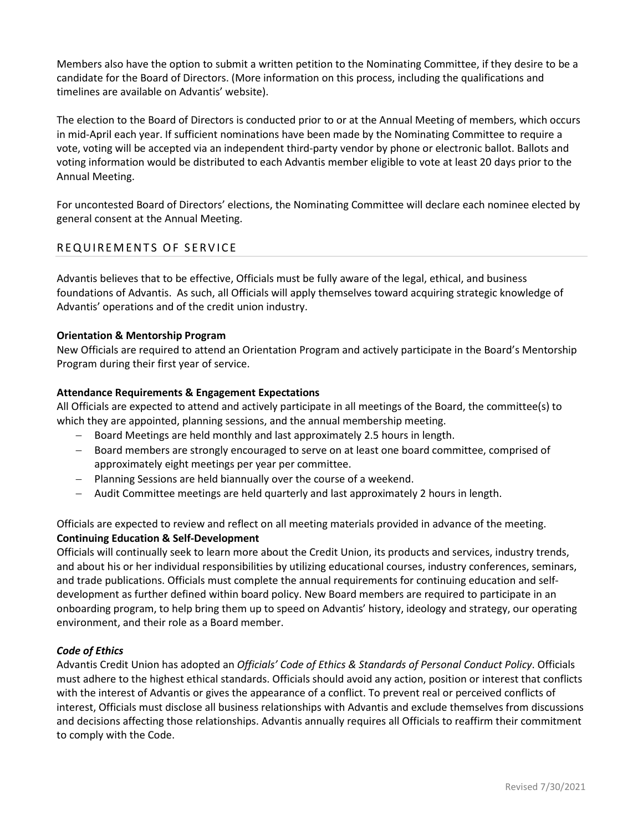Members also have the option to submit a written petition to the Nominating Committee, if they desire to be a candidate for the Board of Directors. (More information on this process, including the qualifications and timelines are available on Advantis' website).

The election to the Board of Directors is conducted prior to or at the Annual Meeting of members, which occurs in mid-April each year. If sufficient nominations have been made by the Nominating Committee to require a vote, voting will be accepted via an independent third-party vendor by phone or electronic ballot. Ballots and voting information would be distributed to each Advantis member eligible to vote at least 20 days prior to the Annual Meeting.

For uncontested Board of Directors' elections, the Nominating Committee will declare each nominee elected by general consent at the Annual Meeting.

#### REQUIREMENTS OF SERVICE

Advantis believes that to be effective, Officials must be fully aware of the legal, ethical, and business foundations of Advantis. As such, all Officials will apply themselves toward acquiring strategic knowledge of Advantis' operations and of the credit union industry.

#### **Orientation & Mentorship Program**

New Officials are required to attend an Orientation Program and actively participate in the Board's Mentorship Program during their first year of service.

#### **Attendance Requirements & Engagement Expectations**

All Officials are expected to attend and actively participate in all meetings of the Board, the committee(s) to which they are appointed, planning sessions, and the annual membership meeting.

- − Board Meetings are held monthly and last approximately 2.5 hours in length.
- − Board members are strongly encouraged to serve on at least one board committee, comprised of approximately eight meetings per year per committee.
- − Planning Sessions are held biannually over the course of a weekend.
- − Audit Committee meetings are held quarterly and last approximately 2 hours in length.

#### Officials are expected to review and reflect on all meeting materials provided in advance of the meeting. **Continuing Education & Self-Development**

Officials will continually seek to learn more about the Credit Union, its products and services, industry trends, and about his or her individual responsibilities by utilizing educational courses, industry conferences, seminars, and trade publications. Officials must complete the annual requirements for continuing education and selfdevelopment as further defined within board policy. New Board members are required to participate in an onboarding program, to help bring them up to speed on Advantis' history, ideology and strategy, our operating environment, and their role as a Board member.

#### *Code of Ethics*

Advantis Credit Union has adopted an *Officials' Code of Ethics & Standards of Personal Conduct Policy*. Officials must adhere to the highest ethical standards. Officials should avoid any action, position or interest that conflicts with the interest of Advantis or gives the appearance of a conflict. To prevent real or perceived conflicts of interest, Officials must disclose all business relationships with Advantis and exclude themselves from discussions and decisions affecting those relationships. Advantis annually requires all Officials to reaffirm their commitment to comply with the Code.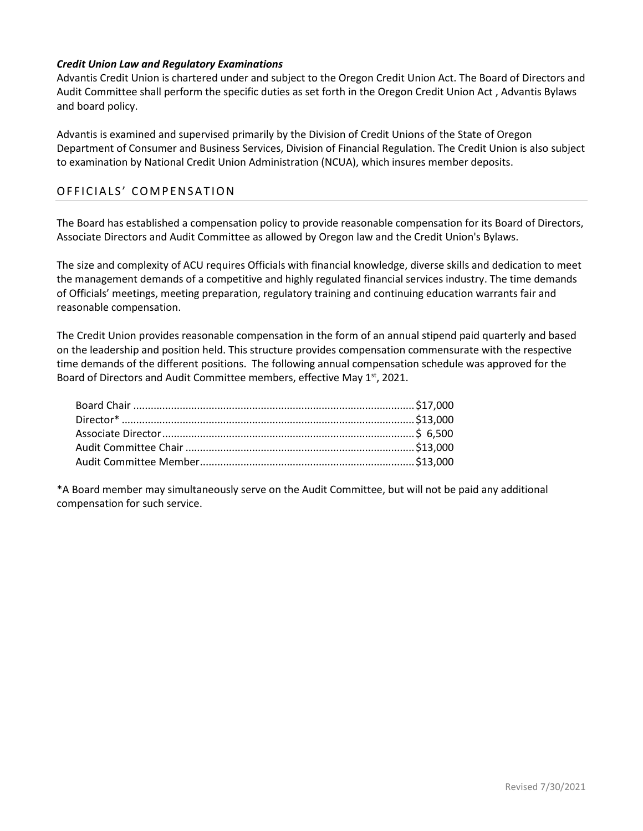#### *Credit Union Law and Regulatory Examinations*

Advantis Credit Union is chartered under and subject to the Oregon Credit Union Act. The Board of Directors and Audit Committee shall perform the specific duties as set forth in the Oregon Credit Union Act , Advantis Bylaws and board policy.

Advantis is examined and supervised primarily by the Division of Credit Unions of the State of Oregon Department of Consumer and Business Services, Division of Financial Regulation. The Credit Union is also subject to examination by National Credit Union Administration (NCUA), which insures member deposits.

#### OFFICIALS' COMPENSATION

The Board has established a compensation policy to provide reasonable compensation for its Board of Directors, Associate Directors and Audit Committee as allowed by Oregon law and the Credit Union's Bylaws.

The size and complexity of ACU requires Officials with financial knowledge, diverse skills and dedication to meet the management demands of a competitive and highly regulated financial services industry. The time demands of Officials' meetings, meeting preparation, regulatory training and continuing education warrants fair and reasonable compensation.

The Credit Union provides reasonable compensation in the form of an annual stipend paid quarterly and based on the leadership and position held. This structure provides compensation commensurate with the respective time demands of the different positions. The following annual compensation schedule was approved for the Board of Directors and Audit Committee members, effective May 1st, 2021.

\*A Board member may simultaneously serve on the Audit Committee, but will not be paid any additional compensation for such service.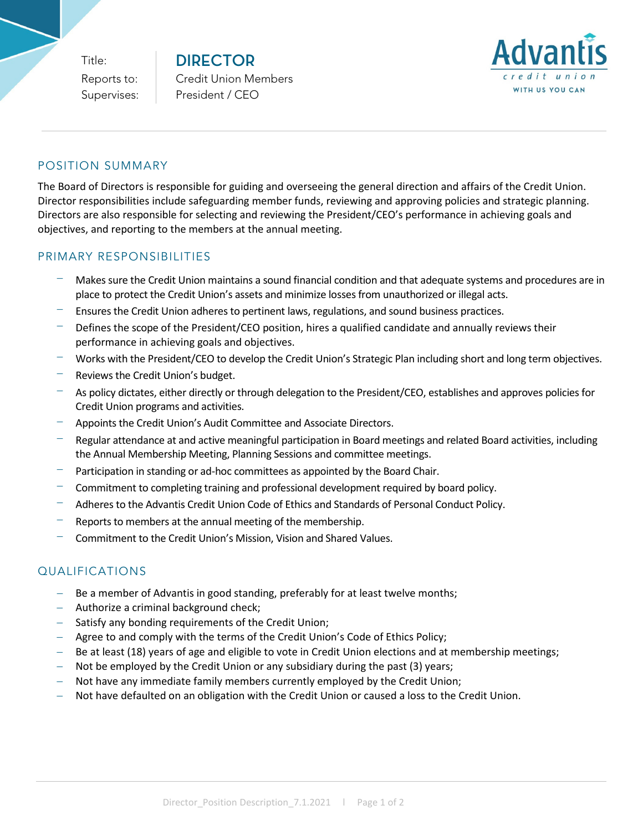Title:

**DIRECTOR** Reports to: Credit Union Members Supervises: | President / CEO



#### POSITION SUMMARY

The Board of Directors is responsible for guiding and overseeing the general direction and affairs of the Credit Union. Director responsibilities include safeguarding member funds, reviewing and approving policies and strategic planning. Directors are also responsible for selecting and reviewing the President/CEO's performance in achieving goals and objectives, and reporting to the members at the annual meeting.

#### PRIMARY RESPONSIBILITIES

- − Makes sure the Credit Union maintains a sound financial condition and that adequate systems and procedures are in place to protect the Credit Union's assets and minimize losses from unauthorized or illegal acts.
- Ensures the Credit Union adheres to pertinent laws, regulations, and sound business practices.
- Defines the scope of the President/CEO position, hires a qualified candidate and annually reviews their performance in achieving goals and objectives.
- − Works with the President/CEO to develop the Credit Union's Strategic Plan including short and long term objectives.
- Reviews the Credit Union's budget.
- As policy dictates, either directly or through delegation to the President/CEO, establishes and approves policies for Credit Union programs and activities.
- − Appoints the Credit Union's Audit Committee and Associate Directors.
- − Regular attendance at and active meaningful participation in Board meetings and related Board activities, including the Annual Membership Meeting, Planning Sessions and committee meetings.
- Participation in standing or ad-hoc committees as appointed by the Board Chair.
- − Commitment to completing training and professional development required by board policy.
- − Adheres to the Advantis Credit Union Code of Ethics and Standards of Personal Conduct Policy.
- Reports to members at the annual meeting of the membership.
- − Commitment to the Credit Union's Mission, Vision and Shared Values.

## QUALIFICATIONS

- Be a member of Advantis in good standing, preferably for at least twelve months;
- − Authorize a criminal background check;
- Satisfy any bonding requirements of the Credit Union;
- Agree to and comply with the terms of the Credit Union's Code of Ethics Policy;
- Be at least (18) years of age and eligible to vote in Credit Union elections and at membership meetings;
- − Not be employed by the Credit Union or any subsidiary during the past (3) years;
- Not have any immediate family members currently employed by the Credit Union;
- Not have defaulted on an obligation with the Credit Union or caused a loss to the Credit Union.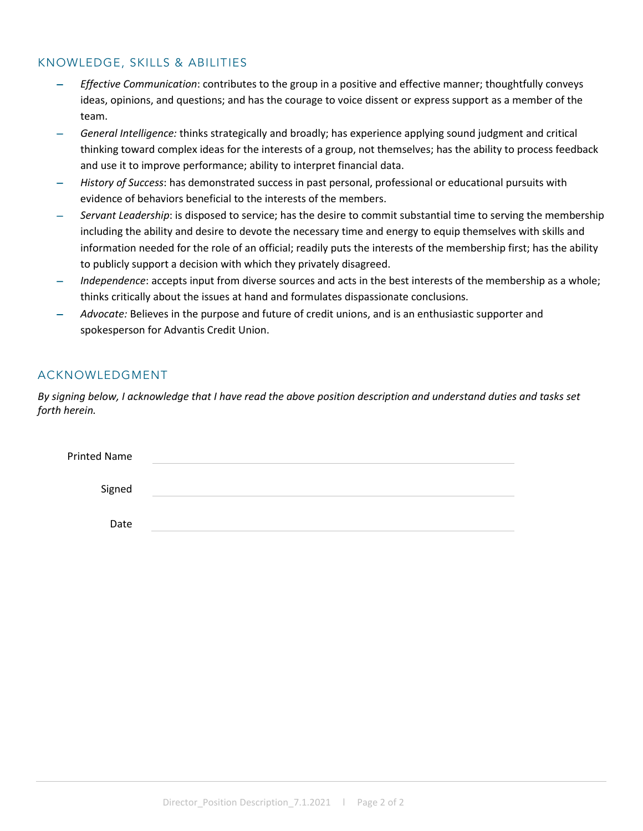## KNOWLEDGE, SKILLS & ABILITIES

- − *Effective Communication*: contributes to the group in a positive and effective manner; thoughtfully conveys ideas, opinions, and questions; and has the courage to voice dissent or express support as a member of the team.
- − *General Intelligence:* thinks strategically and broadly; has experience applying sound judgment and critical thinking toward complex ideas for the interests of a group, not themselves; has the ability to process feedback and use it to improve performance; ability to interpret financial data.
- − *History of Success*: has demonstrated success in past personal, professional or educational pursuits with evidence of behaviors beneficial to the interests of the members.
- − *Servant Leadership*: is disposed to service; has the desire to commit substantial time to serving the membership including the ability and desire to devote the necessary time and energy to equip themselves with skills and information needed for the role of an official; readily puts the interests of the membership first; has the ability to publicly support a decision with which they privately disagreed.
- − *Independence*: accepts input from diverse sources and acts in the best interests of the membership as a whole; thinks critically about the issues at hand and formulates dispassionate conclusions.
- − *Advocate:* Believes in the purpose and future of credit unions, and is an enthusiastic supporter and spokesperson for Advantis Credit Union.

## ACKNOWLEDGMENT

*By signing below, I acknowledge that I have read the above position description and understand duties and tasks set forth herein.*

| <b>Printed Name</b> |  |
|---------------------|--|
| Signed              |  |
| Date                |  |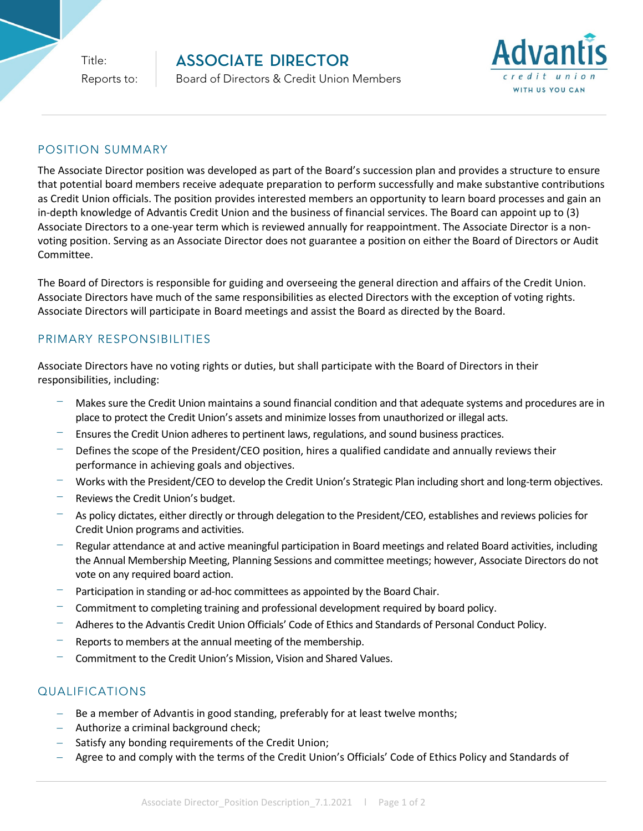Title:

# **ASSOCIATE DIRECTOR**



## Reports to: **Board of Directors & Credit Union Members**

## POSITION SUMMARY

The Associate Director position was developed as part of the Board's succession plan and provides a structure to ensure that potential board members receive adequate preparation to perform successfully and make substantive contributions as Credit Union officials. The position provides interested members an opportunity to learn board processes and gain an in-depth knowledge of Advantis Credit Union and the business of financial services. The Board can appoint up to (3) Associate Directors to a one-year term which is reviewed annually for reappointment. The Associate Director is a nonvoting position. Serving as an Associate Director does not guarantee a position on either the Board of Directors or Audit Committee.

The Board of Directors is responsible for guiding and overseeing the general direction and affairs of the Credit Union. Associate Directors have much of the same responsibilities as elected Directors with the exception of voting rights. Associate Directors will participate in Board meetings and assist the Board as directed by the Board.

## PRIMARY RESPONSIBILITIES

Associate Directors have no voting rights or duties, but shall participate with the Board of Directors in their responsibilities, including:

- − Makes sure the Credit Union maintains a sound financial condition and that adequate systems and procedures are in place to protect the Credit Union's assets and minimize losses from unauthorized or illegal acts.
- Ensures the Credit Union adheres to pertinent laws, regulations, and sound business practices.
- Defines the scope of the President/CEO position, hires a qualified candidate and annually reviews their performance in achieving goals and objectives.
- − Works with the President/CEO to develop the Credit Union's Strategic Plan including short and long-term objectives.
- − Reviews the Credit Union's budget.
- As policy dictates, either directly or through delegation to the President/CEO, establishes and reviews policies for Credit Union programs and activities.
- Regular attendance at and active meaningful participation in Board meetings and related Board activities, including the Annual Membership Meeting, Planning Sessions and committee meetings; however, Associate Directors do not vote on any required board action.
- Participation in standing or ad-hoc committees as appointed by the Board Chair.
- − Commitment to completing training and professional development required by board policy.
- − Adheres to the Advantis Credit Union Officials' Code of Ethics and Standards of Personal Conduct Policy.
- Reports to members at the annual meeting of the membership.
- − Commitment to the Credit Union's Mission, Vision and Shared Values.

## QUALIFICATIONS

- Be a member of Advantis in good standing, preferably for at least twelve months;
- − Authorize a criminal background check;
- − Satisfy any bonding requirements of the Credit Union;
- − Agree to and comply with the terms of the Credit Union's Officials' Code of Ethics Policy and Standards of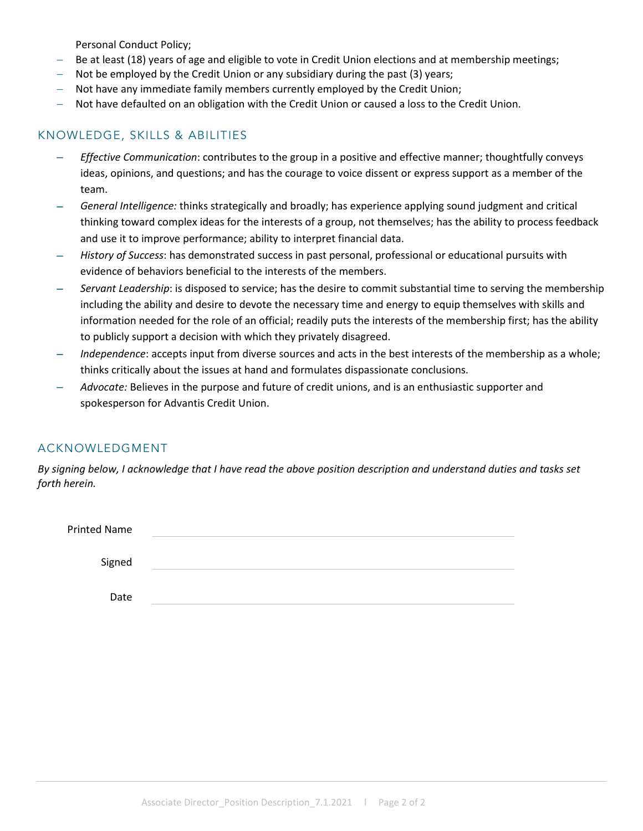Personal Conduct Policy;

- Be at least (18) years of age and eligible to vote in Credit Union elections and at membership meetings;
- Not be employed by the Credit Union or any subsidiary during the past (3) years;
- Not have any immediate family members currently employed by the Credit Union;
- − Not have defaulted on an obligation with the Credit Union or caused a loss to the Credit Union.

## KNOWLEDGE, SKILLS & ABILITIES

- − *Effective Communication*: contributes to the group in a positive and effective manner; thoughtfully conveys ideas, opinions, and questions; and has the courage to voice dissent or express support as a member of the team.
- − *General Intelligence:* thinks strategically and broadly; has experience applying sound judgment and critical thinking toward complex ideas for the interests of a group, not themselves; has the ability to process feedback and use it to improve performance; ability to interpret financial data.
- − *History of Success*: has demonstrated success in past personal, professional or educational pursuits with evidence of behaviors beneficial to the interests of the members.
- − *Servant Leadership*: is disposed to service; has the desire to commit substantial time to serving the membership including the ability and desire to devote the necessary time and energy to equip themselves with skills and information needed for the role of an official; readily puts the interests of the membership first; has the ability to publicly support a decision with which they privately disagreed.
- *Independence*: accepts input from diverse sources and acts in the best interests of the membership as a whole; thinks critically about the issues at hand and formulates dispassionate conclusions.
- − *Advocate:* Believes in the purpose and future of credit unions, and is an enthusiastic supporter and spokesperson for Advantis Credit Union.

## ACKNOWLEDGMENT

*By signing below, I acknowledge that I have read the above position description and understand duties and tasks set forth herein.*

| <b>Printed Name</b> |  |  |
|---------------------|--|--|
|                     |  |  |
| Signed              |  |  |
|                     |  |  |
| Date                |  |  |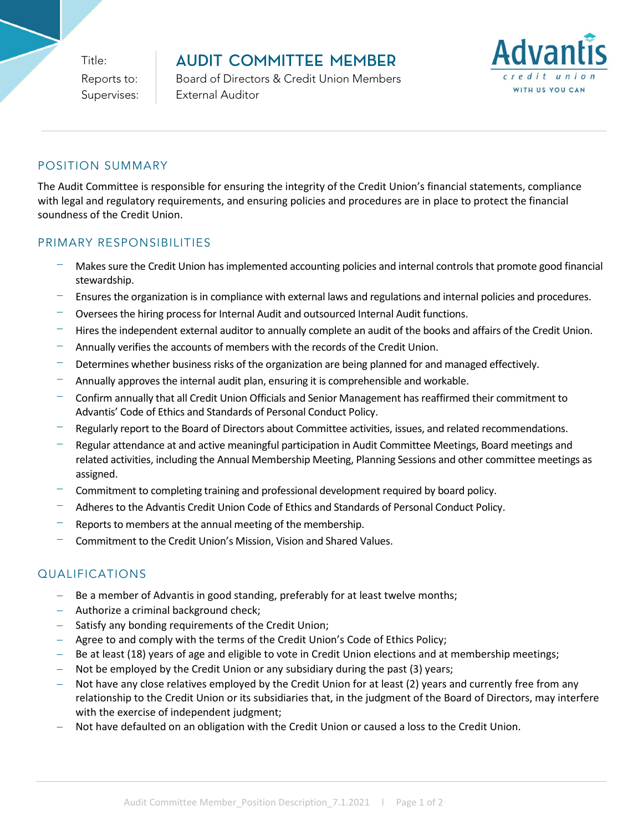Title:

## **AUDIT COMMITTEE MEMBER**

Reports to: **Board of Directors & Credit Union Members** Supervises: | External Auditor



## POSITION SUMMARY

The Audit Committee is responsible for ensuring the integrity of the Credit Union's financial statements, compliance with legal and regulatory requirements, and ensuring policies and procedures are in place to protect the financial soundness of the Credit Union.

## PRIMARY RESPONSIBILITIES

- − Makes sure the Credit Union has implemented accounting policies and internal controls that promote good financial stewardship.
- − Ensures the organization is in compliance with external laws and regulations and internal policies and procedures.
- − Oversees the hiring process for Internal Audit and outsourced Internal Audit functions.
- − Hires the independent external auditor to annually complete an audit of the books and affairs of the Credit Union.
- − Annually verifies the accounts of members with the records of the Credit Union.
- Determines whether business risks of the organization are being planned for and managed effectively.
- − Annually approves the internal audit plan, ensuring it is comprehensible and workable.
- − Confirm annually that all Credit Union Officials and Senior Management has reaffirmed their commitment to Advantis' Code of Ethics and Standards of Personal Conduct Policy.
- Regularly report to the Board of Directors about Committee activities, issues, and related recommendations.
- − Regular attendance at and active meaningful participation in Audit Committee Meetings, Board meetings and related activities, including the Annual Membership Meeting, Planning Sessions and other committee meetings as assigned.
- − Commitment to completing training and professional development required by board policy.
- − Adheres to the Advantis Credit Union Code of Ethics and Standards of Personal Conduct Policy.
- Reports to members at the annual meeting of the membership.
- − Commitment to the Credit Union's Mission, Vision and Shared Values.

## QUALIFICATIONS

- − Be a member of Advantis in good standing, preferably for at least twelve months;
- − Authorize a criminal background check;
- Satisfy any bonding requirements of the Credit Union;
- − Agree to and comply with the terms of the Credit Union's Code of Ethics Policy;
- Be at least (18) years of age and eligible to vote in Credit Union elections and at membership meetings;
- Not be employed by the Credit Union or any subsidiary during the past (3) years;
- − Not have any close relatives employed by the Credit Union for at least (2) years and currently free from any relationship to the Credit Union or its subsidiaries that, in the judgment of the Board of Directors, may interfere with the exercise of independent judgment;
- Not have defaulted on an obligation with the Credit Union or caused a loss to the Credit Union.